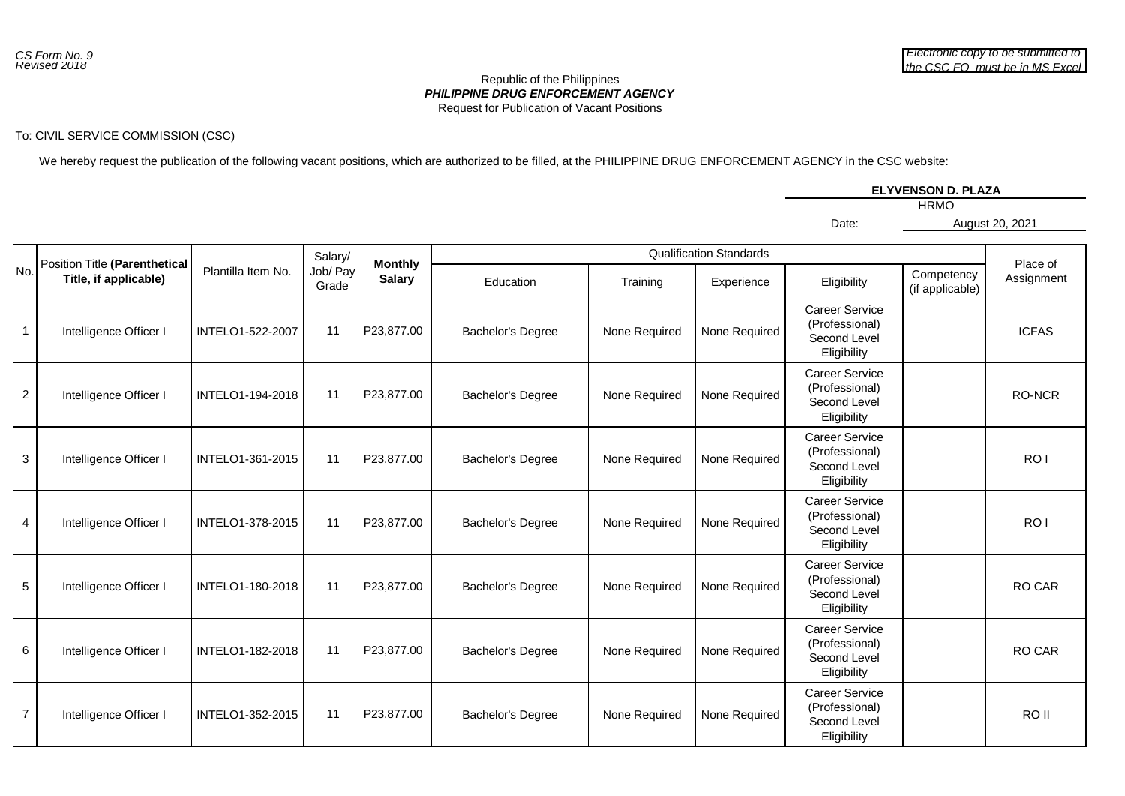## *PHILIPPINE DRUG ENFORCEMENT AGENCY* Republic of the Philippines Request for Publication of Vacant Positions

## To: CIVIL SERVICE COMMISSION (CSC)

We hereby request the publication of the following vacant positions, which are authorized to be filled, at the PHILIPPINE DRUG ENFORCEMENT AGENCY in the CSC website:

|       | <b>ELYVENSON D. PLAZA</b> |
|-------|---------------------------|
|       | <b>HRMO</b>               |
| Date: | August 20, 2021           |

|                |                                                        |                    | Salary/           |                                 | <b>Qualification Standards</b> |               |               |                                                                        |                               |                        |
|----------------|--------------------------------------------------------|--------------------|-------------------|---------------------------------|--------------------------------|---------------|---------------|------------------------------------------------------------------------|-------------------------------|------------------------|
| No.            | Position Title (Parenthetical<br>Title, if applicable) | Plantilla Item No. | Job/ Pay<br>Grade | <b>Monthly</b><br><b>Salary</b> | Education                      | Training      | Experience    | Eligibility                                                            | Competency<br>(if applicable) | Place of<br>Assignment |
| $\mathbf{1}$   | Intelligence Officer I                                 | INTELO1-522-2007   | 11                | P23,877.00                      | <b>Bachelor's Degree</b>       | None Required | None Required | <b>Career Service</b><br>(Professional)<br>Second Level<br>Eligibility |                               | <b>ICFAS</b>           |
| $\overline{a}$ | Intelligence Officer I                                 | INTELO1-194-2018   | 11                | P23,877.00                      | Bachelor's Degree              | None Required | None Required | <b>Career Service</b><br>(Professional)<br>Second Level<br>Eligibility |                               | RO-NCR                 |
| $\mathbf{3}$   | Intelligence Officer I                                 | INTELO1-361-2015   | 11                | P23,877.00                      | Bachelor's Degree              | None Required | None Required | <b>Career Service</b><br>(Professional)<br>Second Level<br>Eligibility |                               | RO <sub>1</sub>        |
| $\overline{4}$ | Intelligence Officer I                                 | INTELO1-378-2015   | 11                | P23,877.00                      | Bachelor's Degree              | None Required | None Required | <b>Career Service</b><br>(Professional)<br>Second Level<br>Eligibility |                               | RO <sub>1</sub>        |
| 5              | Intelligence Officer I                                 | INTELO1-180-2018   | 11                | P23,877.00                      | <b>Bachelor's Degree</b>       | None Required | None Required | <b>Career Service</b><br>(Professional)<br>Second Level<br>Eligibility |                               | RO CAR                 |
| $6\phantom{a}$ | Intelligence Officer I                                 | INTELO1-182-2018   | 11                | P23,877.00                      | Bachelor's Degree              | None Required | None Required | <b>Career Service</b><br>(Professional)<br>Second Level<br>Eligibility |                               | RO CAR                 |
| $\overline{7}$ | Intelligence Officer I                                 | INTELO1-352-2015   | 11                | P23,877.00                      | Bachelor's Degree              | None Required | None Required | <b>Career Service</b><br>(Professional)<br>Second Level<br>Eligibility |                               | RO II                  |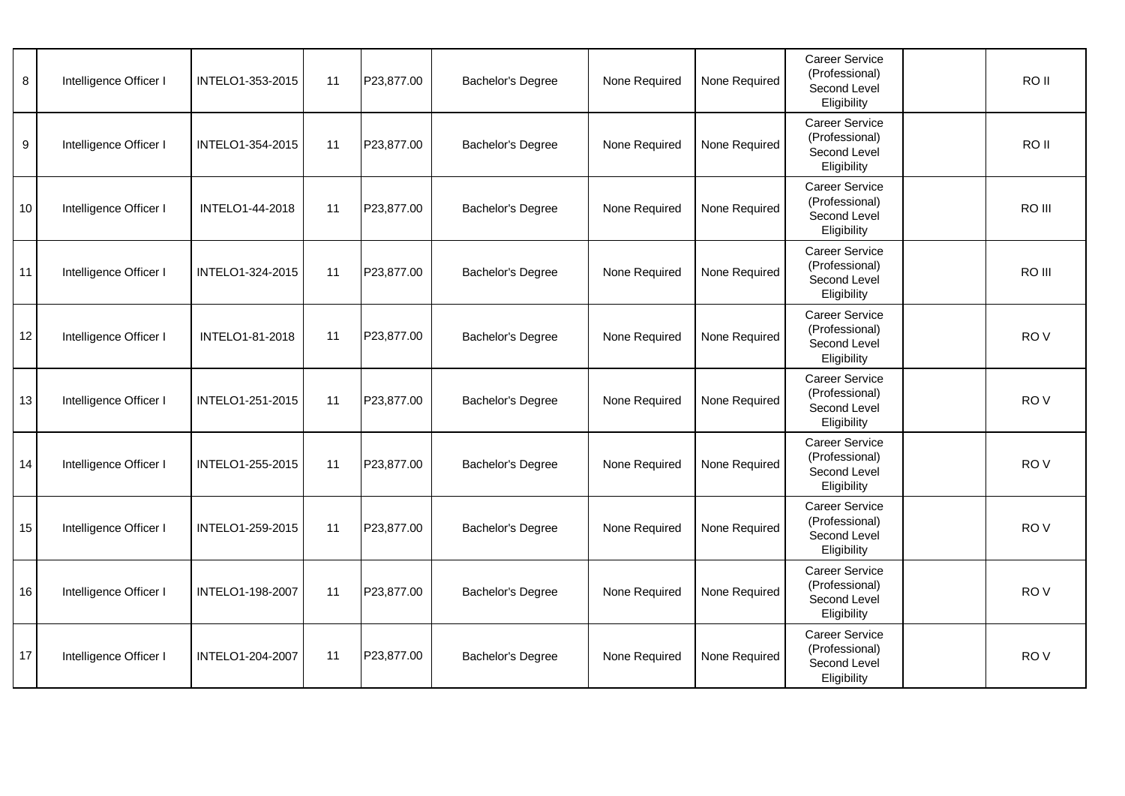| 8  | Intelligence Officer I | INTELO1-353-2015 | 11 | P23,877.00 | Bachelor's Degree        | None Required | None Required | Career Service<br>(Professional)<br>Second Level<br>Eligibility        | RO <sub>II</sub> |
|----|------------------------|------------------|----|------------|--------------------------|---------------|---------------|------------------------------------------------------------------------|------------------|
| 9  | Intelligence Officer I | INTELO1-354-2015 | 11 | P23,877.00 | <b>Bachelor's Degree</b> | None Required | None Required | <b>Career Service</b><br>(Professional)<br>Second Level<br>Eligibility | RO II            |
| 10 | Intelligence Officer I | INTELO1-44-2018  | 11 | P23,877.00 | <b>Bachelor's Degree</b> | None Required | None Required | <b>Career Service</b><br>(Professional)<br>Second Level<br>Eligibility | RO III           |
| 11 | Intelligence Officer I | INTELO1-324-2015 | 11 | P23,877.00 | Bachelor's Degree        | None Required | None Required | Career Service<br>(Professional)<br>Second Level<br>Eligibility        | RO III           |
| 12 | Intelligence Officer I | INTELO1-81-2018  | 11 | P23,877.00 | <b>Bachelor's Degree</b> | None Required | None Required | Career Service<br>(Professional)<br>Second Level<br>Eligibility        | RO <sub>V</sub>  |
| 13 | Intelligence Officer I | INTELO1-251-2015 | 11 | P23,877.00 | Bachelor's Degree        | None Required | None Required | Career Service<br>(Professional)<br>Second Level<br>Eligibility        | RO <sub>V</sub>  |
| 14 | Intelligence Officer I | INTELO1-255-2015 | 11 | P23,877.00 | Bachelor's Degree        | None Required | None Required | Career Service<br>(Professional)<br>Second Level<br>Eligibility        | RO <sub>V</sub>  |
| 15 | Intelligence Officer I | INTELO1-259-2015 | 11 | P23,877.00 | Bachelor's Degree        | None Required | None Required | <b>Career Service</b><br>(Professional)<br>Second Level<br>Eligibility | RO <sub>V</sub>  |
| 16 | Intelligence Officer I | INTELO1-198-2007 | 11 | P23,877.00 | <b>Bachelor's Degree</b> | None Required | None Required | Career Service<br>(Professional)<br>Second Level<br>Eligibility        | RO <sub>V</sub>  |
| 17 | Intelligence Officer I | INTELO1-204-2007 | 11 | P23,877.00 | Bachelor's Degree        | None Required | None Required | Career Service<br>(Professional)<br>Second Level<br>Eligibility        | RO <sub>V</sub>  |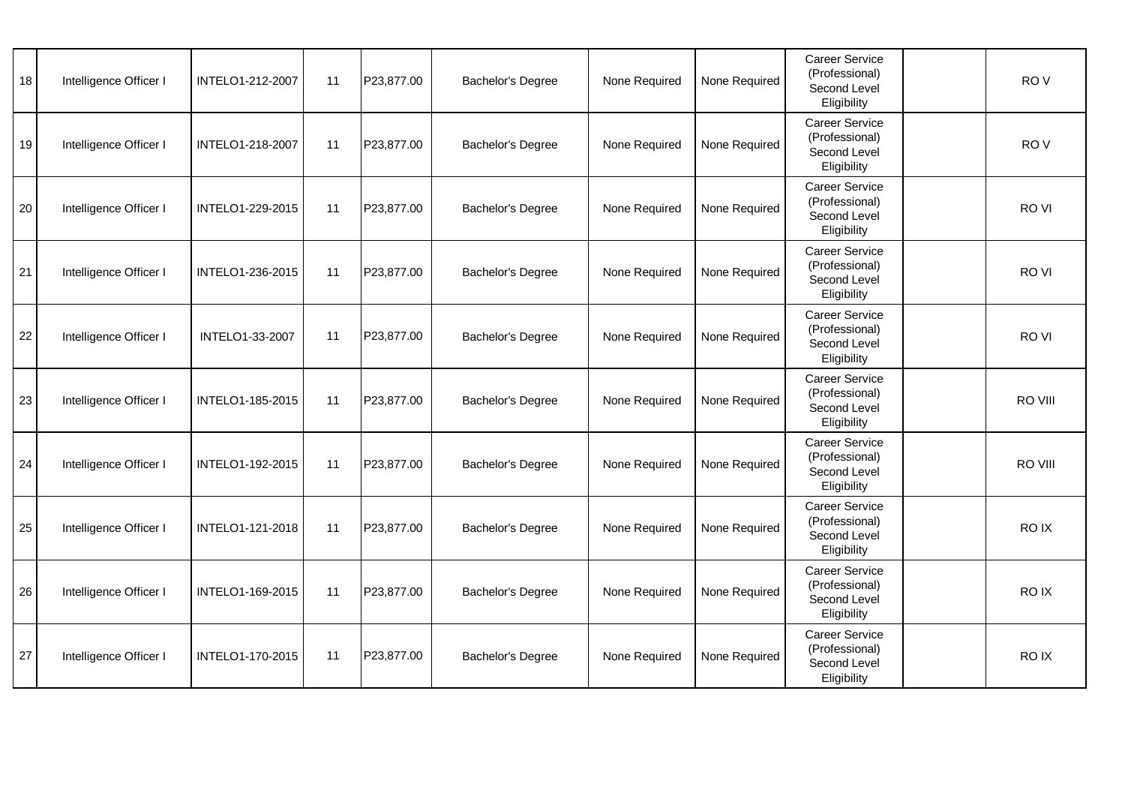| 18 | Intelligence Officer I | INTELO1-212-2007 | 11 | P23,877.00 | Bachelor's Degree        | None Required | None Required | Career Service<br>(Professional)<br>Second Level<br>Eligibility        | RO <sub>V</sub> |
|----|------------------------|------------------|----|------------|--------------------------|---------------|---------------|------------------------------------------------------------------------|-----------------|
| 19 | Intelligence Officer I | INTELO1-218-2007 | 11 | P23,877.00 | <b>Bachelor's Degree</b> | None Required | None Required | <b>Career Service</b><br>(Professional)<br>Second Level<br>Eligibility | RO <sub>V</sub> |
| 20 | Intelligence Officer I | INTELO1-229-2015 | 11 | P23,877.00 | <b>Bachelor's Degree</b> | None Required | None Required | <b>Career Service</b><br>(Professional)<br>Second Level<br>Eligibility | RO VI           |
| 21 | Intelligence Officer I | INTELO1-236-2015 | 11 | P23,877.00 | Bachelor's Degree        | None Required | None Required | Career Service<br>(Professional)<br>Second Level<br>Eligibility        | RO VI           |
| 22 | Intelligence Officer I | INTELO1-33-2007  | 11 | P23,877.00 | Bachelor's Degree        | None Required | None Required | Career Service<br>(Professional)<br>Second Level<br>Eligibility        | RO VI           |
| 23 | Intelligence Officer I | INTELO1-185-2015 | 11 | P23,877.00 | Bachelor's Degree        | None Required | None Required | Career Service<br>(Professional)<br>Second Level<br>Eligibility        | RO VIII         |
| 24 | Intelligence Officer I | INTELO1-192-2015 | 11 | P23,877.00 | Bachelor's Degree        | None Required | None Required | Career Service<br>(Professional)<br>Second Level<br>Eligibility        | RO VIII         |
| 25 | Intelligence Officer I | INTELO1-121-2018 | 11 | P23,877.00 | Bachelor's Degree        | None Required | None Required | <b>Career Service</b><br>(Professional)<br>Second Level<br>Eligibility | RO IX           |
| 26 | Intelligence Officer I | INTELO1-169-2015 | 11 | P23,877.00 | Bachelor's Degree        | None Required | None Required | Career Service<br>(Professional)<br>Second Level<br>Eligibility        | RO IX           |
| 27 | Intelligence Officer I | INTELO1-170-2015 | 11 | P23,877.00 | Bachelor's Degree        | None Required | None Required | Career Service<br>(Professional)<br>Second Level<br>Eligibility        | RO IX           |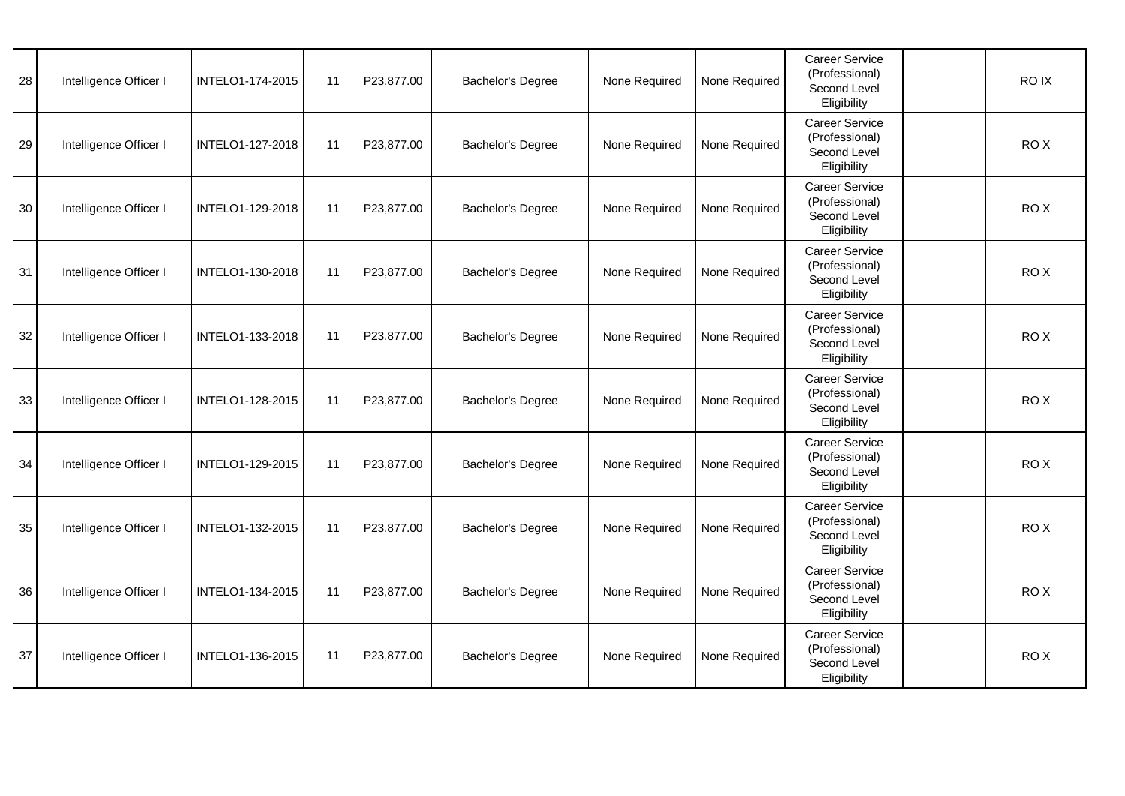| 28 | Intelligence Officer I | INTELO1-174-2015 | 11 | P23,877.00 | Bachelor's Degree        | None Required | None Required | Career Service<br>(Professional)<br>Second Level<br>Eligibility        | RO IX |
|----|------------------------|------------------|----|------------|--------------------------|---------------|---------------|------------------------------------------------------------------------|-------|
| 29 | Intelligence Officer I | INTELO1-127-2018 | 11 | P23,877.00 | <b>Bachelor's Degree</b> | None Required | None Required | <b>Career Service</b><br>(Professional)<br>Second Level<br>Eligibility | RO X  |
| 30 | Intelligence Officer I | INTELO1-129-2018 | 11 | P23,877.00 | <b>Bachelor's Degree</b> | None Required | None Required | <b>Career Service</b><br>(Professional)<br>Second Level<br>Eligibility | RO X  |
| 31 | Intelligence Officer I | INTELO1-130-2018 | 11 | P23,877.00 | Bachelor's Degree        | None Required | None Required | Career Service<br>(Professional)<br>Second Level<br>Eligibility        | RO X  |
| 32 | Intelligence Officer I | INTELO1-133-2018 | 11 | P23,877.00 | Bachelor's Degree        | None Required | None Required | Career Service<br>(Professional)<br>Second Level<br>Eligibility        | RO X  |
| 33 | Intelligence Officer I | INTELO1-128-2015 | 11 | P23,877.00 | Bachelor's Degree        | None Required | None Required | Career Service<br>(Professional)<br>Second Level<br>Eligibility        | ROX   |
| 34 | Intelligence Officer I | INTELO1-129-2015 | 11 | P23,877.00 | Bachelor's Degree        | None Required | None Required | Career Service<br>(Professional)<br>Second Level<br>Eligibility        | ROX   |
| 35 | Intelligence Officer I | INTELO1-132-2015 | 11 | P23,877.00 | Bachelor's Degree        | None Required | None Required | <b>Career Service</b><br>(Professional)<br>Second Level<br>Eligibility | RO X  |
| 36 | Intelligence Officer I | INTELO1-134-2015 | 11 | P23,877.00 | Bachelor's Degree        | None Required | None Required | Career Service<br>(Professional)<br>Second Level<br>Eligibility        | RO X  |
| 37 | Intelligence Officer I | INTELO1-136-2015 | 11 | P23,877.00 | Bachelor's Degree        | None Required | None Required | Career Service<br>(Professional)<br>Second Level<br>Eligibility        | RO X  |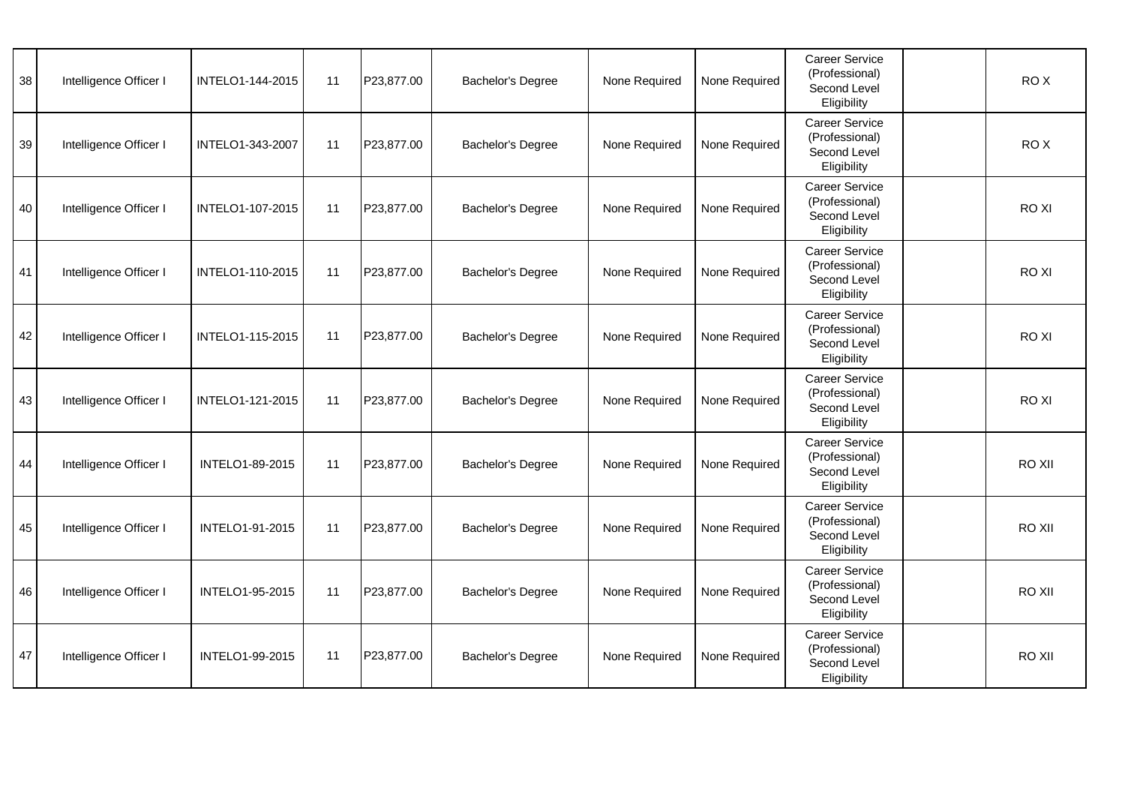| 38 | Intelligence Officer I | INTELO1-144-2015 | 11 | P23,877.00 | Bachelor's Degree        | None Required | None Required | Career Service<br>(Professional)<br>Second Level<br>Eligibility        | ROX    |
|----|------------------------|------------------|----|------------|--------------------------|---------------|---------------|------------------------------------------------------------------------|--------|
| 39 | Intelligence Officer I | INTELO1-343-2007 | 11 | P23,877.00 | Bachelor's Degree        | None Required | None Required | Career Service<br>(Professional)<br>Second Level<br>Eligibility        | RO X   |
| 40 | Intelligence Officer I | INTELO1-107-2015 | 11 | P23,877.00 | Bachelor's Degree        | None Required | None Required | <b>Career Service</b><br>(Professional)<br>Second Level<br>Eligibility | RO XI  |
| 41 | Intelligence Officer I | INTELO1-110-2015 | 11 | P23,877.00 | Bachelor's Degree        | None Required | None Required | <b>Career Service</b><br>(Professional)<br>Second Level<br>Eligibility | RO XI  |
| 42 | Intelligence Officer I | INTELO1-115-2015 | 11 | P23,877.00 | Bachelor's Degree        | None Required | None Required | Career Service<br>(Professional)<br>Second Level<br>Eligibility        | RO XI  |
| 43 | Intelligence Officer I | INTELO1-121-2015 | 11 | P23,877.00 | Bachelor's Degree        | None Required | None Required | Career Service<br>(Professional)<br>Second Level<br>Eligibility        | RO XI  |
| 44 | Intelligence Officer I | INTELO1-89-2015  | 11 | P23,877.00 | <b>Bachelor's Degree</b> | None Required | None Required | Career Service<br>(Professional)<br>Second Level<br>Eligibility        | RO XII |
| 45 | Intelligence Officer I | INTELO1-91-2015  | 11 | P23,877.00 | Bachelor's Degree        | None Required | None Required | <b>Career Service</b><br>(Professional)<br>Second Level<br>Eligibility | RO XII |
| 46 | Intelligence Officer I | INTELO1-95-2015  | 11 | P23,877.00 | Bachelor's Degree        | None Required | None Required | Career Service<br>(Professional)<br>Second Level<br>Eligibility        | RO XII |
| 47 | Intelligence Officer I | INTELO1-99-2015  | 11 | P23,877.00 | Bachelor's Degree        | None Required | None Required | Career Service<br>(Professional)<br>Second Level<br>Eligibility        | RO XII |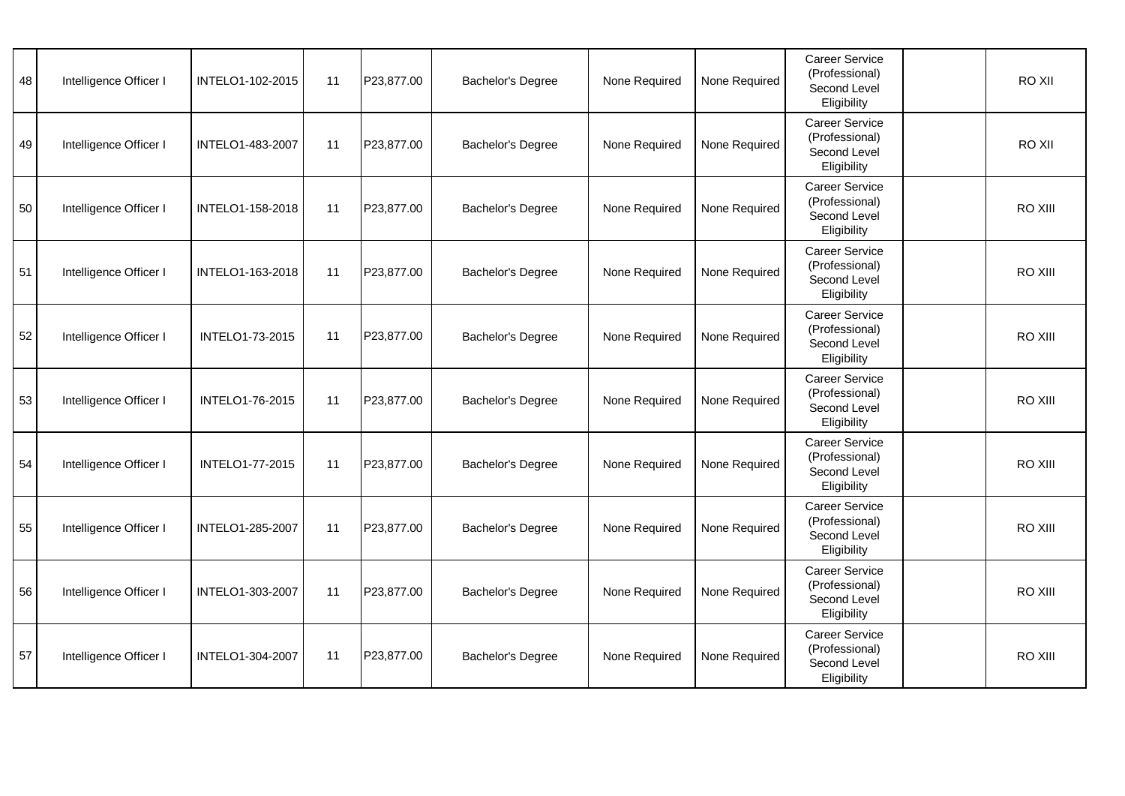| 48 | Intelligence Officer I | INTELO1-102-2015       | 11 | P23,877.00 | Bachelor's Degree | None Required | None Required | Career Service<br>(Professional)<br>Second Level<br>Eligibility        | RO XII  |
|----|------------------------|------------------------|----|------------|-------------------|---------------|---------------|------------------------------------------------------------------------|---------|
| 49 | Intelligence Officer I | INTELO1-483-2007       | 11 | P23,877.00 | Bachelor's Degree | None Required | None Required | Career Service<br>(Professional)<br>Second Level<br>Eligibility        | RO XII  |
| 50 | Intelligence Officer I | INTELO1-158-2018       | 11 | P23,877.00 | Bachelor's Degree | None Required | None Required | <b>Career Service</b><br>(Professional)<br>Second Level<br>Eligibility | RO XIII |
| 51 | Intelligence Officer I | INTELO1-163-2018       | 11 | P23,877.00 | Bachelor's Degree | None Required | None Required | <b>Career Service</b><br>(Professional)<br>Second Level<br>Eligibility | RO XIII |
| 52 | Intelligence Officer I | INTELO1-73-2015        | 11 | P23,877.00 | Bachelor's Degree | None Required | None Required | Career Service<br>(Professional)<br>Second Level<br>Eligibility        | RO XIII |
| 53 | Intelligence Officer I | INTELO1-76-2015        | 11 | P23,877.00 | Bachelor's Degree | None Required | None Required | <b>Career Service</b><br>(Professional)<br>Second Level<br>Eligibility | RO XIII |
| 54 | Intelligence Officer I | <b>INTELO1-77-2015</b> | 11 | P23,877.00 | Bachelor's Degree | None Required | None Required | <b>Career Service</b><br>(Professional)<br>Second Level<br>Eligibility | RO XIII |
| 55 | Intelligence Officer I | INTELO1-285-2007       | 11 | P23,877.00 | Bachelor's Degree | None Required | None Required | <b>Career Service</b><br>(Professional)<br>Second Level<br>Eligibility | RO XIII |
| 56 | Intelligence Officer I | INTELO1-303-2007       | 11 | P23,877.00 | Bachelor's Degree | None Required | None Required | <b>Career Service</b><br>(Professional)<br>Second Level<br>Eligibility | RO XIII |
| 57 | Intelligence Officer I | INTELO1-304-2007       | 11 | P23,877.00 | Bachelor's Degree | None Required | None Required | Career Service<br>(Professional)<br>Second Level<br>Eligibility        | RO XIII |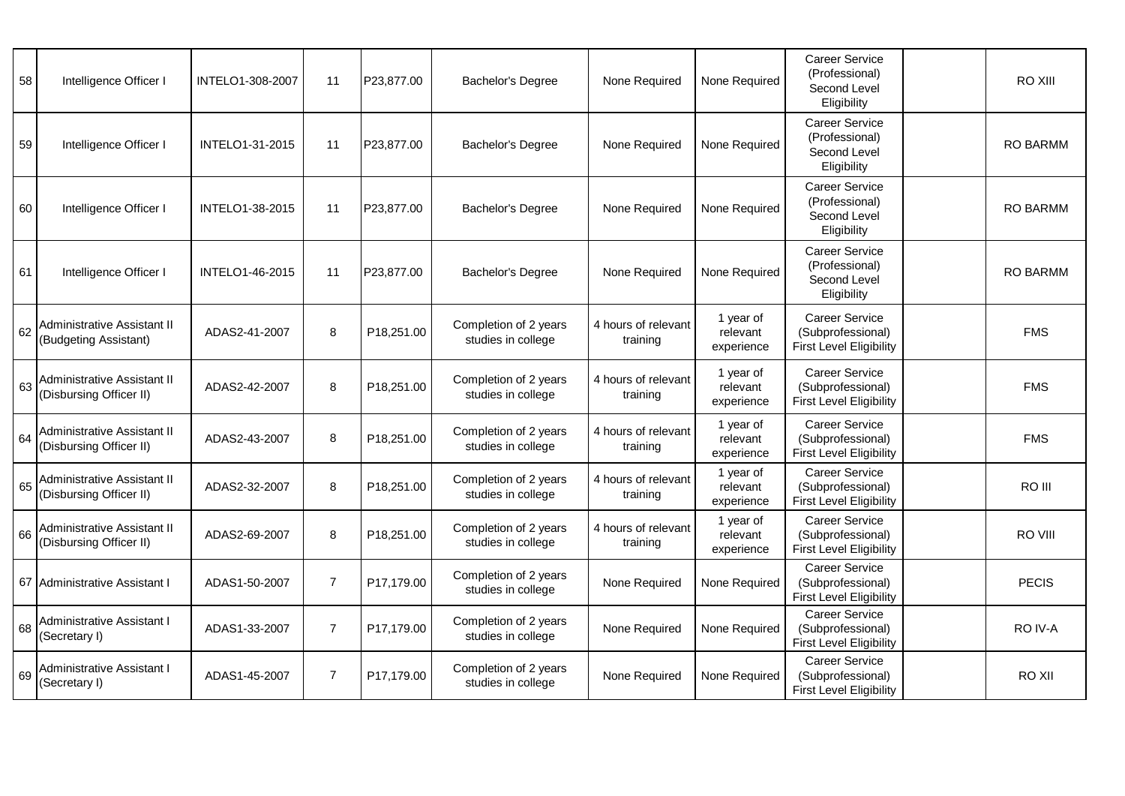| 58 | Intelligence Officer I                                 | INTELO1-308-2007       | 11             | P23,877.00 | Bachelor's Degree                           | None Required                   | None Required                       | <b>Career Service</b><br>(Professional)<br>Second Level<br>Eligibility       | RO XIII         |
|----|--------------------------------------------------------|------------------------|----------------|------------|---------------------------------------------|---------------------------------|-------------------------------------|------------------------------------------------------------------------------|-----------------|
| 59 | Intelligence Officer I                                 | INTELO1-31-2015        | 11             | P23,877.00 | Bachelor's Degree                           | None Required                   | None Required                       | <b>Career Service</b><br>(Professional)<br>Second Level<br>Eligibility       | RO BARMM        |
| 60 | Intelligence Officer I                                 | <b>INTELO1-38-2015</b> | 11             | P23,877.00 | Bachelor's Degree                           | None Required                   | None Required                       | <b>Career Service</b><br>(Professional)<br>Second Level<br>Eligibility       | <b>RO BARMM</b> |
| 61 | Intelligence Officer I                                 | INTELO1-46-2015        | 11             | P23,877.00 | <b>Bachelor's Degree</b>                    | None Required                   | None Required                       | <b>Career Service</b><br>(Professional)<br>Second Level<br>Eligibility       | <b>RO BARMM</b> |
| 62 | Administrative Assistant II<br>(Budgeting Assistant)   | ADAS2-41-2007          | 8              | P18,251.00 | Completion of 2 years<br>studies in college | 4 hours of relevant<br>training | 1 year of<br>relevant<br>experience | <b>Career Service</b><br>(Subprofessional)<br><b>First Level Eligibility</b> | <b>FMS</b>      |
| 63 | Administrative Assistant II<br>(Disbursing Officer II) | ADAS2-42-2007          | 8              | P18,251.00 | Completion of 2 years<br>studies in college | 4 hours of relevant<br>training | 1 year of<br>relevant<br>experience | <b>Career Service</b><br>(Subprofessional)<br><b>First Level Eligibility</b> | <b>FMS</b>      |
| 64 | Administrative Assistant II<br>(Disbursing Officer II) | ADAS2-43-2007          | 8              | P18,251.00 | Completion of 2 years<br>studies in college | 4 hours of relevant<br>training | 1 year of<br>relevant<br>experience | <b>Career Service</b><br>(Subprofessional)<br><b>First Level Eligibility</b> | <b>FMS</b>      |
| 65 | Administrative Assistant II<br>(Disbursing Officer II) | ADAS2-32-2007          | 8              | P18,251.00 | Completion of 2 years<br>studies in college | 4 hours of relevant<br>training | 1 year of<br>relevant<br>experience | <b>Career Service</b><br>(Subprofessional)<br><b>First Level Eligibility</b> | RO III          |
| 66 | Administrative Assistant II<br>(Disbursing Officer II) | ADAS2-69-2007          | 8              | P18,251.00 | Completion of 2 years<br>studies in college | 4 hours of relevant<br>training | 1 year of<br>relevant<br>experience | Career Service<br>(Subprofessional)<br>First Level Eligibility               | RO VIII         |
|    | 67 Administrative Assistant I                          | ADAS1-50-2007          | $\overline{7}$ | P17,179.00 | Completion of 2 years<br>studies in college | None Required                   | None Required                       | Career Service<br>(Subprofessional)<br><b>First Level Eligibility</b>        | <b>PECIS</b>    |
| 68 | Administrative Assistant I<br>(Secretary I)            | ADAS1-33-2007          | $\overline{7}$ | P17,179.00 | Completion of 2 years<br>studies in college | None Required                   | None Required                       | <b>Career Service</b><br>(Subprofessional)<br><b>First Level Eligibility</b> | RO IV-A         |
| 69 | Administrative Assistant I<br>(Secretary I)            | ADAS1-45-2007          | $\overline{7}$ | P17,179.00 | Completion of 2 years<br>studies in college | None Required                   | None Required                       | <b>Career Service</b><br>(Subprofessional)<br><b>First Level Eligibility</b> | RO XII          |